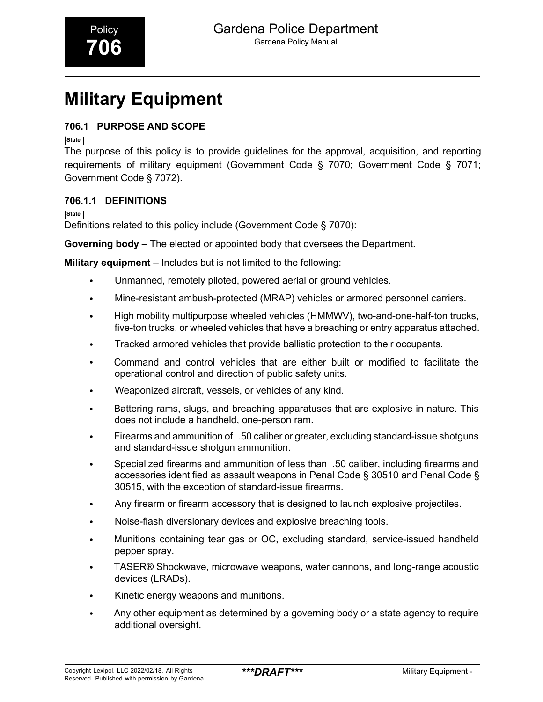# **Military Equipment**

### **706.1 PURPOSE AND SCOPE**

**State**

The purpose of this policy is to provide guidelines for the approval, acquisition, and reporting requirements of military equipment (Government Code § 7070; Government Code § 7071; Government Code § 7072).

### **706.1.1 DEFINITIONS**

**State**

Definitions related to this policy include (Government Code § 7070):

**Governing body** – The elected or appointed body that oversees the Department.

**Military equipment** – Includes but is not limited to the following:

- Unmanned, remotely piloted, powered aerial or ground vehicles.
- Mine-resistant ambush-protected (MRAP) vehicles or armored personnel carriers.
- High mobility multipurpose wheeled vehicles (HMMWV), two-and-one-half-ton trucks, five-ton trucks, or wheeled vehicles that have a breaching or entry apparatus attached.
- Tracked armored vehicles that provide ballistic protection to their occupants.
- Command and control vehicles that are either built or modified to facilitate the operational control and direction of public safety units.
- Weaponized aircraft, vessels, or vehicles of any kind.
- Battering rams, slugs, and breaching apparatuses that are explosive in nature. This does not include a handheld, one-person ram.
- Firearms and ammunition of .50 caliber or greater, excluding standard-issue shotguns and standard-issue shotgun ammunition.
- Specialized firearms and ammunition of less than .50 caliber, including firearms and accessories identified as assault weapons in Penal Code § 30510 and Penal Code § 30515, with the exception of standard-issue firearms.
- Any firearm or firearm accessory that is designed to launch explosive projectiles.
- Noise-flash diversionary devices and explosive breaching tools.
- Munitions containing tear gas or OC, excluding standard, service-issued handheld pepper spray.
- TASER® Shockwave, microwave weapons, water cannons, and long-range acoustic devices (LRADs).
- Kinetic energy weapons and munitions.
- Any other equipment as determined by a governing body or a state agency to require additional oversight.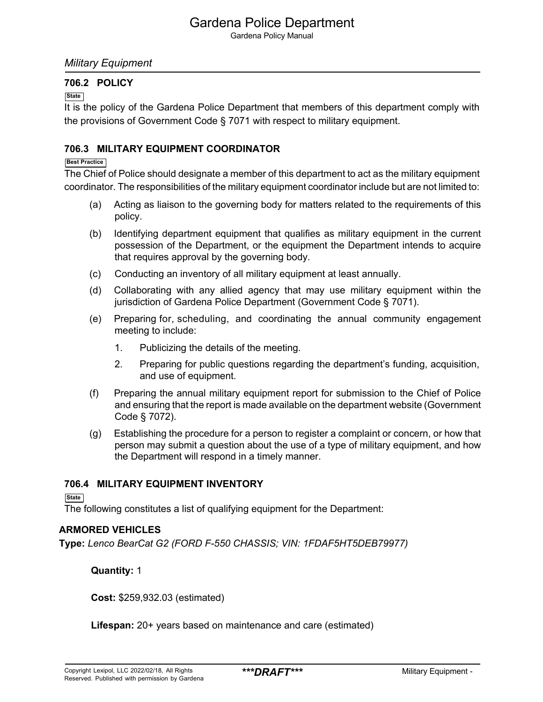Gardena Policy Manual

### *Military Equipment*

### **706.2 POLICY**

#### **State**

It is the policy of the Gardena Police Department that members of this department comply with the provisions of Government Code § 7071 with respect to military equipment.

### **706.3 MILITARY EQUIPMENT COORDINATOR**

#### **Best Practice**

The Chief of Police should designate a member of this department to act as the military equipment coordinator. The responsibilities of the military equipment coordinator include but are not limited to:

- (a) Acting as liaison to the governing body for matters related to the requirements of this policy.
- (b) Identifying department equipment that qualifies as military equipment in the current possession of the Department, or the equipment the Department intends to acquire that requires approval by the governing body.
- (c) Conducting an inventory of all military equipment at least annually.
- (d) Collaborating with any allied agency that may use military equipment within the jurisdiction of Gardena Police Department (Government Code § 7071).
- (e) Preparing for, scheduling, and coordinating the annual community engagement meeting to include:
	- 1. Publicizing the details of the meeting.
	- 2. Preparing for public questions regarding the department's funding, acquisition, and use of equipment.
- (f) Preparing the annual military equipment report for submission to the Chief of Police and ensuring that the report is made available on the department website (Government Code § 7072).
- (g) Establishing the procedure for a person to register a complaint or concern, or how that person may submit a question about the use of a type of military equipment, and how the Department will respond in a timely manner.

#### **706.4 MILITARY EQUIPMENT INVENTORY**

**State**

The following constitutes a list of qualifying equipment for the Department:

#### **ARMORED VEHICLES**

**Type:** *Lenco BearCat G2 (FORD F-550 CHASSIS; VIN: 1FDAF5HT5DEB79977)*

#### **Quantity:** 1

**Cost:** \$259,932.03 (estimated)

**Lifespan:** 20+ years based on maintenance and care (estimated)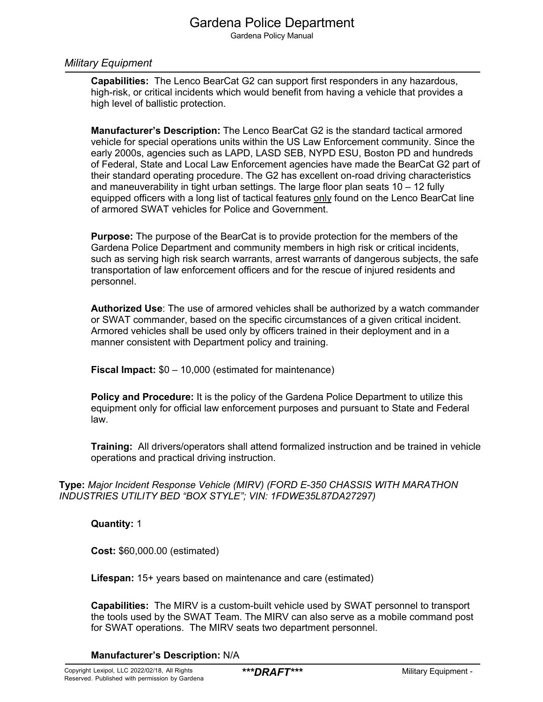Gardena Policy Manual

#### *Military Equipment*

**Capabilities:** The Lenco BearCat G2 can support first responders in any hazardous, high-risk, or critical incidents which would benefit from having a vehicle that provides a high level of ballistic protection.

**Manufacturer's Description:** The Lenco BearCat G2 is the standard tactical armored vehicle for special operations units within the US Law Enforcement community. Since the early 2000s, agencies such as LAPD, LASD SEB, NYPD ESU, Boston PD and hundreds of Federal, State and Local Law Enforcement agencies have made the BearCat G2 part of their standard operating procedure. The G2 has excellent on-road driving characteristics and maneuverability in tight urban settings. The large floor plan seats 10 – 12 fully equipped officers with a long list of tactical features only found on the Lenco BearCat line of armored SWAT vehicles for Police and Government.

**Purpose:** The purpose of the BearCat is to provide protection for the members of the Gardena Police Department and community members in high risk or critical incidents, such as serving high risk search warrants, arrest warrants of dangerous subjects, the safe transportation of law enforcement officers and for the rescue of injured residents and personnel.

**Authorized Use**: The use of armored vehicles shall be authorized by a watch commander or SWAT commander, based on the specific circumstances of a given critical incident. Armored vehicles shall be used only by officers trained in their deployment and in a manner consistent with Department policy and training.

**Fiscal Impact:** \$0 – 10,000 (estimated for maintenance)

**Policy and Procedure:** It is the policy of the Gardena Police Department to utilize this equipment only for official law enforcement purposes and pursuant to State and Federal law.

**Training:** All drivers/operators shall attend formalized instruction and be trained in vehicle operations and practical driving instruction.

**Type:** *Major Incident Response Vehicle (MIRV) (FORD E-350 CHASSIS WITH MARATHON INDUSTRIES UTILITY BED "BOX STYLE"; VIN: 1FDWE35L87DA27297)*

**Quantity:** 1

**Cost:** \$60,000.00 (estimated)

**Lifespan:** 15+ years based on maintenance and care (estimated)

**Capabilities:** The MIRV is a custom-built vehicle used by SWAT personnel to transport the tools used by the SWAT Team. The MIRV can also serve as a mobile command post for SWAT operations. The MIRV seats two department personnel.

**Manufacturer's Description:** N/A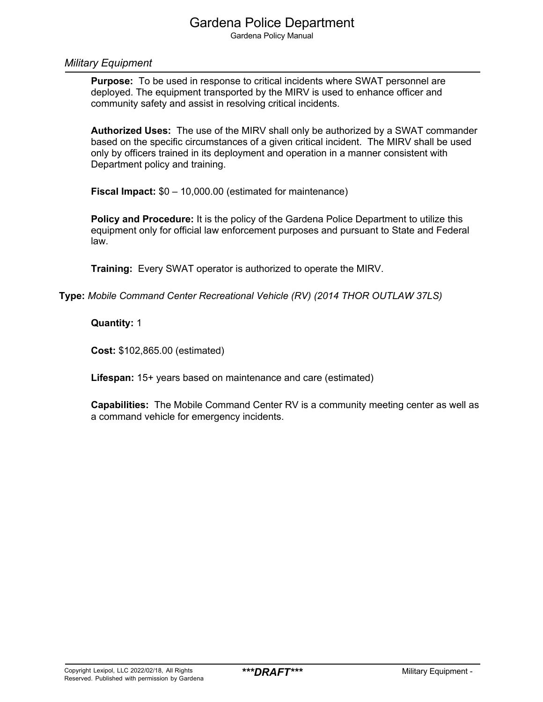Gardena Policy Manual

#### *Military Equipment*

**Purpose:** To be used in response to critical incidents where SWAT personnel are deployed. The equipment transported by the MIRV is used to enhance officer and community safety and assist in resolving critical incidents.

**Authorized Uses:** The use of the MIRV shall only be authorized by a SWAT commander based on the specific circumstances of a given critical incident. The MIRV shall be used only by officers trained in its deployment and operation in a manner consistent with Department policy and training.

**Fiscal Impact:** \$0 – 10,000.00 (estimated for maintenance)

**Policy and Procedure:** It is the policy of the Gardena Police Department to utilize this equipment only for official law enforcement purposes and pursuant to State and Federal law.

**Training:** Every SWAT operator is authorized to operate the MIRV.

**Type:** *Mobile Command Center Recreational Vehicle (RV) (2014 THOR OUTLAW 37LS)*

#### **Quantity:** 1

**Cost:** \$102,865.00 (estimated)

**Lifespan:** 15+ years based on maintenance and care (estimated)

**Capabilities:** The Mobile Command Center RV is a community meeting center as well as a command vehicle for emergency incidents.

4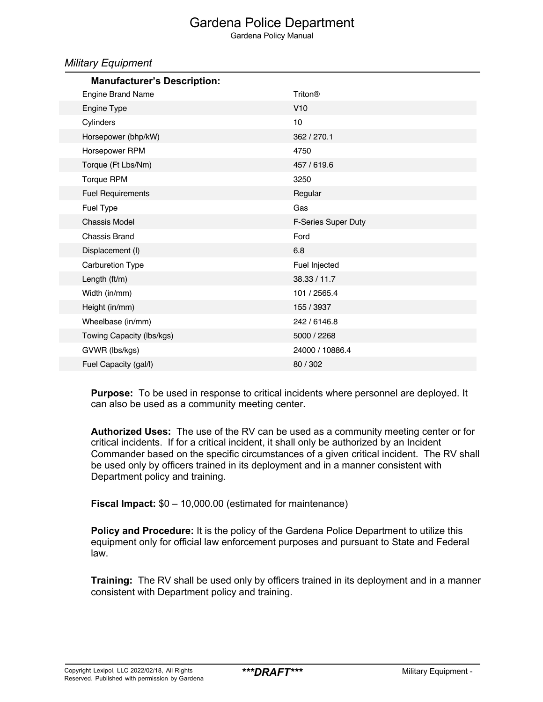Gardena Policy Manual

#### *Military Equipment*

| Triton®             |
|---------------------|
| V10                 |
| 10                  |
| 362 / 270.1         |
| 4750                |
| 457 / 619.6         |
| 3250                |
| Regular             |
| Gas                 |
| F-Series Super Duty |
| Ford                |
| 6.8                 |
| Fuel Injected       |
| 38.33 / 11.7        |
| 101 / 2565.4        |
| 155 / 3937          |
| 242 / 6146.8        |
| 5000 / 2268         |
| 24000 / 10886.4     |
| 80 / 302            |
|                     |

**Purpose:** To be used in response to critical incidents where personnel are deployed. It can also be used as a community meeting center.

**Authorized Uses:** The use of the RV can be used as a community meeting center or for critical incidents. If for a critical incident, it shall only be authorized by an Incident Commander based on the specific circumstances of a given critical incident. The RV shall be used only by officers trained in its deployment and in a manner consistent with Department policy and training.

**Fiscal Impact:** \$0 – 10,000.00 (estimated for maintenance)

**Policy and Procedure:** It is the policy of the Gardena Police Department to utilize this equipment only for official law enforcement purposes and pursuant to State and Federal law.

**Training:** The RV shall be used only by officers trained in its deployment and in a manner consistent with Department policy and training.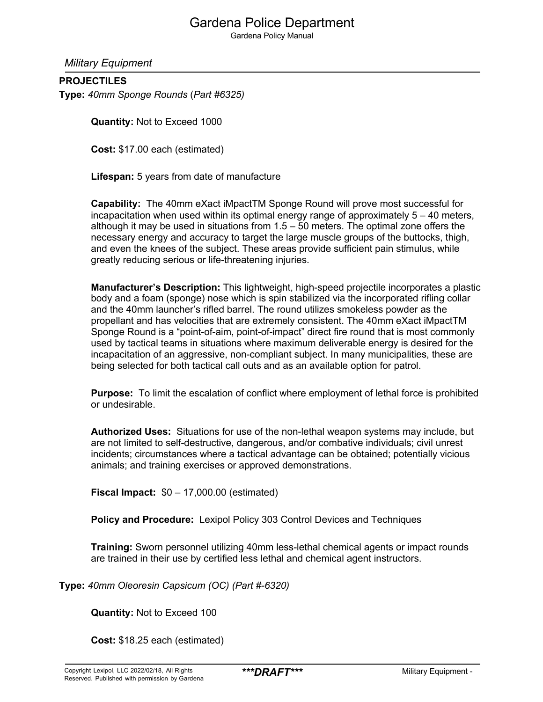Gardena Policy Manual

*Military Equipment*

### **PROJECTILES**

**Type:** *40mm Sponge Rounds* (*Part #6325)*

**Quantity:** Not to Exceed 1000

**Cost:** \$17.00 each (estimated)

**Lifespan:** 5 years from date of manufacture

**Capability:** The 40mm eXact iMpactTM Sponge Round will prove most successful for incapacitation when used within its optimal energy range of approximately  $5 - 40$  meters, although it may be used in situations from 1.5 – 50 meters. The optimal zone offers the necessary energy and accuracy to target the large muscle groups of the buttocks, thigh, and even the knees of the subject. These areas provide sufficient pain stimulus, while greatly reducing serious or life-threatening injuries.

**Manufacturer's Description:** This lightweight, high-speed projectile incorporates a plastic body and a foam (sponge) nose which is spin stabilized via the incorporated rifling collar and the 40mm launcher's rifled barrel. The round utilizes smokeless powder as the propellant and has velocities that are extremely consistent. The 40mm eXact iMpactTM Sponge Round is a "point-of-aim, point-of-impact" direct fire round that is most commonly used by tactical teams in situations where maximum deliverable energy is desired for the incapacitation of an aggressive, non-compliant subject. In many municipalities, these are being selected for both tactical call outs and as an available option for patrol.

**Purpose:** To limit the escalation of conflict where employment of lethal force is prohibited or undesirable.

**Authorized Uses:** Situations for use of the non-lethal weapon systems may include, but are not limited to self-destructive, dangerous, and/or combative individuals; civil unrest incidents; circumstances where a tactical advantage can be obtained; potentially vicious animals; and training exercises or approved demonstrations.

**Fiscal Impact:** \$0 – 17,000.00 (estimated)

**Policy and Procedure:** Lexipol Policy 303 Control Devices and Techniques

**Training:** Sworn personnel utilizing 40mm less-lethal chemical agents or impact rounds are trained in their use by certified less lethal and chemical agent instructors.

**Type:** *40mm Oleoresin Capsicum (OC) (Part #-6320)*

**Quantity:** Not to Exceed 100

**Cost:** \$18.25 each (estimated)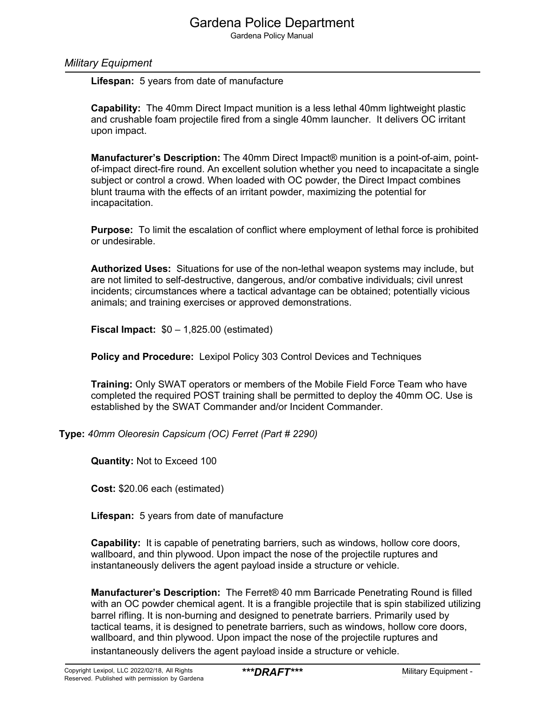Gardena Policy Manual

#### *Military Equipment*

**Lifespan:** 5 years from date of manufacture

**Capability:** The 40mm Direct Impact munition is a less lethal 40mm lightweight plastic and crushable foam projectile fired from a single 40mm launcher. It delivers OC irritant upon impact.

**Manufacturer's Description:** The 40mm Direct Impact® munition is a point-of-aim, pointof-impact direct-fire round. An excellent solution whether you need to incapacitate a single subject or control a crowd. When loaded with OC powder, the Direct Impact combines blunt trauma with the effects of an irritant powder, maximizing the potential for incapacitation.

**Purpose:** To limit the escalation of conflict where employment of lethal force is prohibited or undesirable.

**Authorized Uses:** Situations for use of the non-lethal weapon systems may include, but are not limited to self-destructive, dangerous, and/or combative individuals; civil unrest incidents; circumstances where a tactical advantage can be obtained; potentially vicious animals; and training exercises or approved demonstrations.

**Fiscal Impact:** \$0 – 1,825.00 (estimated)

**Policy and Procedure:** Lexipol Policy 303 Control Devices and Techniques

**Training:** Only SWAT operators or members of the Mobile Field Force Team who have completed the required POST training shall be permitted to deploy the 40mm OC. Use is established by the SWAT Commander and/or Incident Commander.

**Type:** *40mm Oleoresin Capsicum (OC) Ferret (Part # 2290)*

**Quantity:** Not to Exceed 100

**Cost:** \$20.06 each (estimated)

**Lifespan:** 5 years from date of manufacture

**Capability:** It is capable of penetrating barriers, such as windows, hollow core doors, wallboard, and thin plywood. Upon impact the nose of the projectile ruptures and instantaneously delivers the agent payload inside a structure or vehicle.

**Manufacturer's Description:** The Ferret® 40 mm Barricade Penetrating Round is filled with an OC powder chemical agent. It is a frangible projectile that is spin stabilized utilizing barrel rifling. It is non-burning and designed to penetrate barriers. Primarily used by tactical teams, it is designed to penetrate barriers, such as windows, hollow core doors, wallboard, and thin plywood. Upon impact the nose of the projectile ruptures and instantaneously delivers the agent payload inside a structure or vehicle.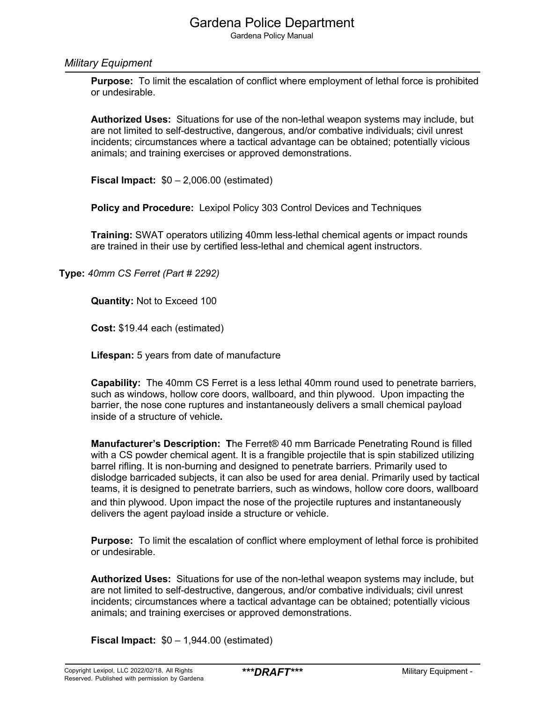Gardena Policy Manual

#### *Military Equipment*

**Purpose:** To limit the escalation of conflict where employment of lethal force is prohibited or undesirable.

**Authorized Uses:** Situations for use of the non-lethal weapon systems may include, but are not limited to self-destructive, dangerous, and/or combative individuals; civil unrest incidents; circumstances where a tactical advantage can be obtained; potentially vicious animals; and training exercises or approved demonstrations.

**Fiscal Impact:** \$0 – 2,006.00 (estimated)

**Policy and Procedure:** Lexipol Policy 303 Control Devices and Techniques

**Training:** SWAT operators utilizing 40mm less-lethal chemical agents or impact rounds are trained in their use by certified less-lethal and chemical agent instructors.

**Type:** *40mm CS Ferret (Part # 2292)*

**Quantity:** Not to Exceed 100

**Cost:** \$19.44 each (estimated)

**Lifespan:** 5 years from date of manufacture

**Capability:** The 40mm CS Ferret is a less lethal 40mm round used to penetrate barriers, such as windows, hollow core doors, wallboard, and thin plywood. Upon impacting the barrier, the nose cone ruptures and instantaneously delivers a small chemical payload inside of a structure of vehicle**.**

**Manufacturer's Description: T**he Ferret® 40 mm Barricade Penetrating Round is filled with a CS powder chemical agent. It is a frangible projectile that is spin stabilized utilizing barrel rifling. It is non-burning and designed to penetrate barriers. Primarily used to dislodge barricaded subjects, it can also be used for area denial. Primarily used by tactical teams, it is designed to penetrate barriers, such as windows, hollow core doors, wallboard and thin plywood. Upon impact the nose of the projectile ruptures and instantaneously delivers the agent payload inside a structure or vehicle.

**Purpose:** To limit the escalation of conflict where employment of lethal force is prohibited or undesirable.

**Authorized Uses:** Situations for use of the non-lethal weapon systems may include, but are not limited to self-destructive, dangerous, and/or combative individuals; civil unrest incidents; circumstances where a tactical advantage can be obtained; potentially vicious animals; and training exercises or approved demonstrations.

**Fiscal Impact:** \$0 – 1,944.00 (estimated)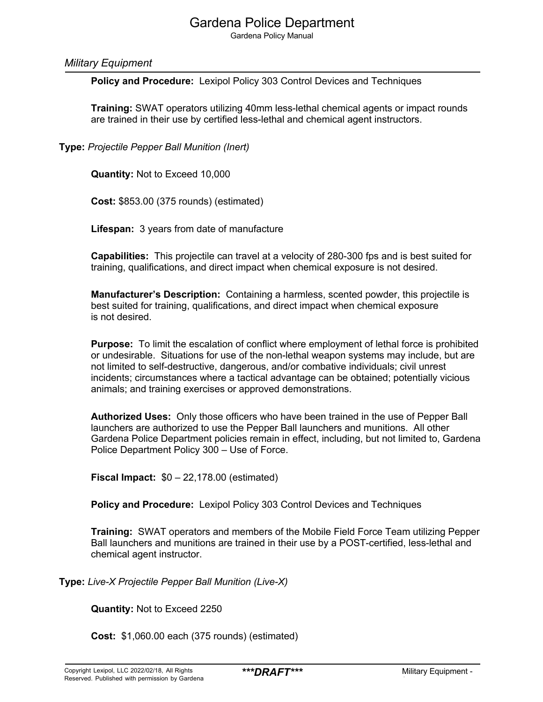Gardena Policy Manual

#### *Military Equipment*

**Policy and Procedure:** Lexipol Policy 303 Control Devices and Techniques

**Training:** SWAT operators utilizing 40mm less-lethal chemical agents or impact rounds are trained in their use by certified less-lethal and chemical agent instructors.

**Type:** *Projectile Pepper Ball Munition (Inert)*

**Quantity:** Not to Exceed 10,000

**Cost:** \$853.00 (375 rounds) (estimated)

**Lifespan:** 3 years from date of manufacture

**Capabilities:** This projectile can travel at a velocity of 280-300 fps and is best suited for training, qualifications, and direct impact when chemical exposure is not desired.

**Manufacturer's Description:** Containing a harmless, scented powder, this projectile is best suited for training, qualifications, and direct impact when chemical exposure is not desired.

**Purpose:** To limit the escalation of conflict where employment of lethal force is prohibited or undesirable. Situations for use of the non-lethal weapon systems may include, but are not limited to self-destructive, dangerous, and/or combative individuals; civil unrest incidents; circumstances where a tactical advantage can be obtained; potentially vicious animals; and training exercises or approved demonstrations.

**Authorized Uses:** Only those officers who have been trained in the use of Pepper Ball launchers are authorized to use the Pepper Ball launchers and munitions. All other Gardena Police Department policies remain in effect, including, but not limited to, Gardena Police Department Policy 300 – Use of Force.

**Fiscal Impact:** \$0 – 22,178.00 (estimated)

**Policy and Procedure:** Lexipol Policy 303 Control Devices and Techniques

**Training:** SWAT operators and members of the Mobile Field Force Team utilizing Pepper Ball launchers and munitions are trained in their use by a POST-certified, less-lethal and chemical agent instructor.

**Type:** *Live-X Projectile Pepper Ball Munition (Live-X)*

**Quantity:** Not to Exceed 2250

**Cost:** \$1,060.00 each (375 rounds) (estimated)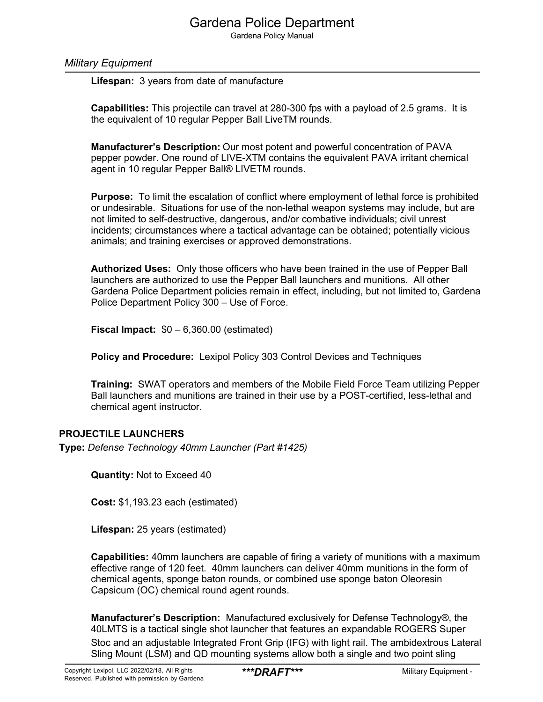Gardena Policy Manual

#### *Military Equipment*

**Lifespan:** 3 years from date of manufacture

**Capabilities:** This projectile can travel at 280-300 fps with a payload of 2.5 grams. It is the equivalent of 10 regular Pepper Ball LiveTM rounds.

**Manufacturer's Description:** Our most potent and powerful concentration of PAVA pepper powder. One round of LIVE-XTM contains the equivalent PAVA irritant chemical agent in 10 regular Pepper Ball® LIVETM rounds.

**Purpose:** To limit the escalation of conflict where employment of lethal force is prohibited or undesirable. Situations for use of the non-lethal weapon systems may include, but are not limited to self-destructive, dangerous, and/or combative individuals; civil unrest incidents; circumstances where a tactical advantage can be obtained; potentially vicious animals; and training exercises or approved demonstrations.

**Authorized Uses:** Only those officers who have been trained in the use of Pepper Ball launchers are authorized to use the Pepper Ball launchers and munitions. All other Gardena Police Department policies remain in effect, including, but not limited to, Gardena Police Department Policy 300 – Use of Force.

**Fiscal Impact:** \$0 – 6,360.00 (estimated)

**Policy and Procedure:** Lexipol Policy 303 Control Devices and Techniques

**Training:** SWAT operators and members of the Mobile Field Force Team utilizing Pepper Ball launchers and munitions are trained in their use by a POST-certified, less-lethal and chemical agent instructor.

#### **PROJECTILE LAUNCHERS**

**Type:** *Defense Technology 40mm Launcher (Part #1425)*

**Quantity:** Not to Exceed 40

**Cost:** \$1,193.23 each (estimated)

**Lifespan:** 25 years (estimated)

**Capabilities:** 40mm launchers are capable of firing a variety of munitions with a maximum effective range of 120 feet. 40mm launchers can deliver 40mm munitions in the form of chemical agents, sponge baton rounds, or combined use sponge baton Oleoresin Capsicum (OC) chemical round agent rounds.

**Manufacturer's Description:** Manufactured exclusively for Defense Technology®, the 40LMTS is a tactical single shot launcher that features an expandable ROGERS Super

Stoc and an adjustable Integrated Front Grip (IFG) with light rail. The ambidextrous Lateral Sling Mount (LSM) and QD mounting systems allow both a single and two point sling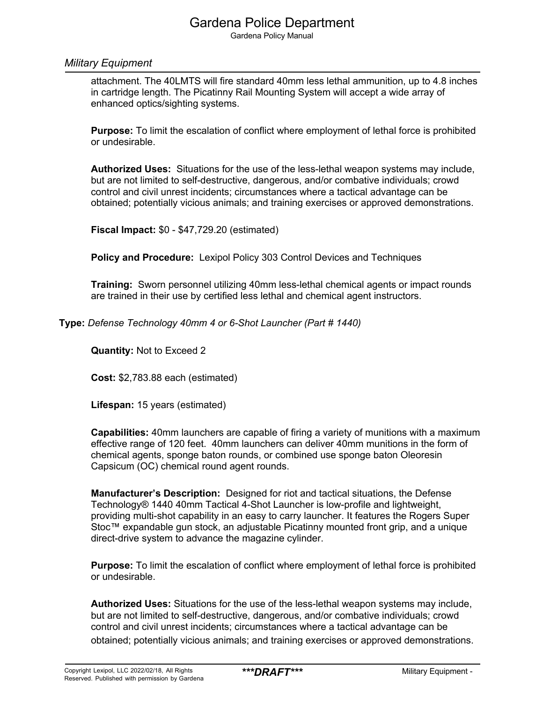Gardena Policy Manual

#### *Military Equipment*

attachment. The 40LMTS will fire standard 40mm less lethal ammunition, up to 4.8 inches in cartridge length. The Picatinny Rail Mounting System will accept a wide array of enhanced optics/sighting systems.

**Purpose:** To limit the escalation of conflict where employment of lethal force is prohibited or undesirable.

**Authorized Uses:** Situations for the use of the less-lethal weapon systems may include, but are not limited to self-destructive, dangerous, and/or combative individuals; crowd control and civil unrest incidents; circumstances where a tactical advantage can be obtained; potentially vicious animals; and training exercises or approved demonstrations.

**Fiscal Impact:** \$0 - \$47,729.20 (estimated)

**Policy and Procedure:** Lexipol Policy 303 Control Devices and Techniques

**Training:** Sworn personnel utilizing 40mm less-lethal chemical agents or impact rounds are trained in their use by certified less lethal and chemical agent instructors.

**Type:** *Defense Technology 40mm 4 or 6-Shot Launcher (Part # 1440)*

**Quantity:** Not to Exceed 2

**Cost:** \$2,783.88 each (estimated)

**Lifespan:** 15 years (estimated)

**Capabilities:** 40mm launchers are capable of firing a variety of munitions with a maximum effective range of 120 feet. 40mm launchers can deliver 40mm munitions in the form of chemical agents, sponge baton rounds, or combined use sponge baton Oleoresin Capsicum (OC) chemical round agent rounds.

**Manufacturer's Description:** Designed for riot and tactical situations, the Defense Technology® 1440 40mm Tactical 4-Shot Launcher is low-profile and lightweight, providing multi-shot capability in an easy to carry launcher. It features the Rogers Super Stoc™ expandable gun stock, an adjustable Picatinny mounted front grip, and a unique direct-drive system to advance the magazine cylinder.

**Purpose:** To limit the escalation of conflict where employment of lethal force is prohibited or undesirable.

**Authorized Uses:** Situations for the use of the less-lethal weapon systems may include, but are not limited to self-destructive, dangerous, and/or combative individuals; crowd control and civil unrest incidents; circumstances where a tactical advantage can be obtained; potentially vicious animals; and training exercises or approved demonstrations.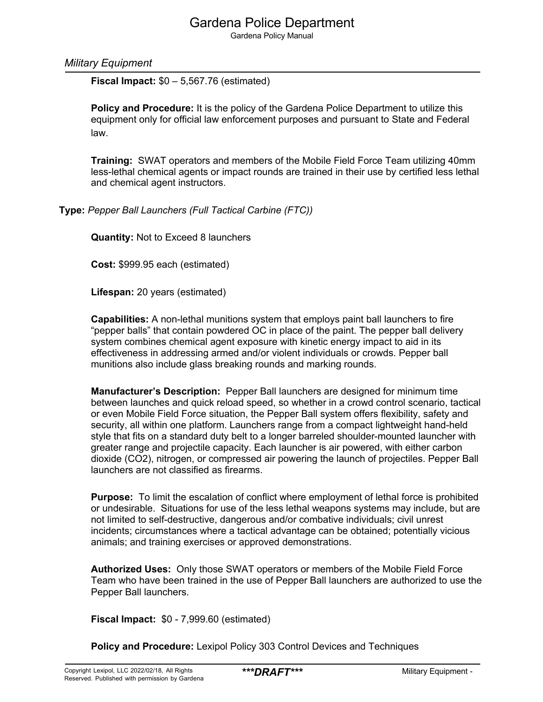Gardena Policy Manual

*Military Equipment*

**Fiscal Impact:** \$0 – 5,567.76 (estimated)

**Policy and Procedure:** It is the policy of the Gardena Police Department to utilize this equipment only for official law enforcement purposes and pursuant to State and Federal law.

**Training:** SWAT operators and members of the Mobile Field Force Team utilizing 40mm less-lethal chemical agents or impact rounds are trained in their use by certified less lethal and chemical agent instructors.

**Type:** *Pepper Ball Launchers (Full Tactical Carbine (FTC))*

**Quantity:** Not to Exceed 8 launchers

**Cost:** \$999.95 each (estimated)

**Lifespan:** 20 years (estimated)

**Capabilities:** A non-lethal munitions system that employs paint ball launchers to fire "pepper balls" that contain powdered OC in place of the paint. The pepper ball delivery system combines chemical agent exposure with kinetic energy impact to aid in its effectiveness in addressing armed and/or violent individuals or crowds. Pepper ball munitions also include glass breaking rounds and marking rounds.

**Manufacturer's Description:** Pepper Ball launchers are designed for minimum time between launches and quick reload speed, so whether in a crowd control scenario, tactical or even Mobile Field Force situation, the Pepper Ball system offers flexibility, safety and security, all within one platform. Launchers range from a compact lightweight hand-held style that fits on a standard duty belt to a longer barreled shoulder-mounted launcher with greater range and projectile capacity. Each launcher is air powered, with either carbon dioxide (CO2), nitrogen, or compressed air powering the launch of projectiles. Pepper Ball launchers are not classified as firearms.

**Purpose:** To limit the escalation of conflict where employment of lethal force is prohibited or undesirable. Situations for use of the less lethal weapons systems may include, but are not limited to self-destructive, dangerous and/or combative individuals; civil unrest incidents; circumstances where a tactical advantage can be obtained; potentially vicious animals; and training exercises or approved demonstrations.

**Authorized Uses:** Only those SWAT operators or members of the Mobile Field Force Team who have been trained in the use of Pepper Ball launchers are authorized to use the Pepper Ball launchers.

**Fiscal Impact:** \$0 - 7,999.60 (estimated)

**Policy and Procedure:** Lexipol Policy 303 Control Devices and Techniques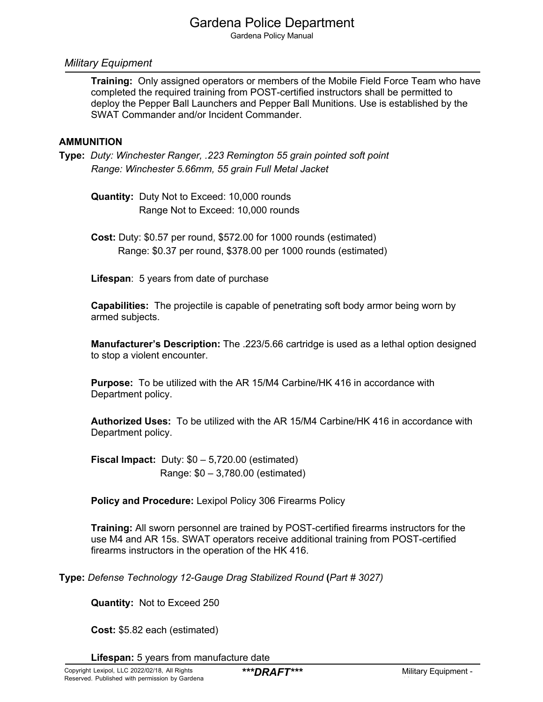Gardena Policy Manual

#### *Military Equipment*

**Training:** Only assigned operators or members of the Mobile Field Force Team who have completed the required training from POST-certified instructors shall be permitted to deploy the Pepper Ball Launchers and Pepper Ball Munitions. Use is established by the SWAT Commander and/or Incident Commander.

#### **AMMUNITION**

**Type:** *Duty: Winchester Ranger, .223 Remington 55 grain pointed soft point Range: Winchester 5.66mm, 55 grain Full Metal Jacket*

**Quantity:** Duty Not to Exceed: 10,000 rounds Range Not to Exceed: 10,000 rounds

**Cost:** Duty: \$0.57 per round, \$572.00 for 1000 rounds (estimated) Range: \$0.37 per round, \$378.00 per 1000 rounds (estimated)

**Lifespan**: 5 years from date of purchase

**Capabilities:** The projectile is capable of penetrating soft body armor being worn by armed subjects.

**Manufacturer's Description:** The .223/5.66 cartridge is used as a lethal option designed to stop a violent encounter.

**Purpose:** To be utilized with the AR 15/M4 Carbine/HK 416 in accordance with Department policy.

**Authorized Uses:** To be utilized with the AR 15/M4 Carbine/HK 416 in accordance with Department policy.

**Fiscal Impact:** Duty: \$0 – 5,720.00 (estimated) Range: \$0 – 3,780.00 (estimated)

**Policy and Procedure:** Lexipol Policy 306 Firearms Policy

**Training:** All sworn personnel are trained by POST-certified firearms instructors for the use M4 and AR 15s. SWAT operators receive additional training from POST-certified firearms instructors in the operation of the HK 416.

**Type:** *Defense Technology 12-Gauge Drag Stabilized Round* **(***Part # 3027)*

**Quantity:** Not to Exceed 250

**Cost:** \$5.82 each (estimated)

**Lifespan:** 5 years from manufacture date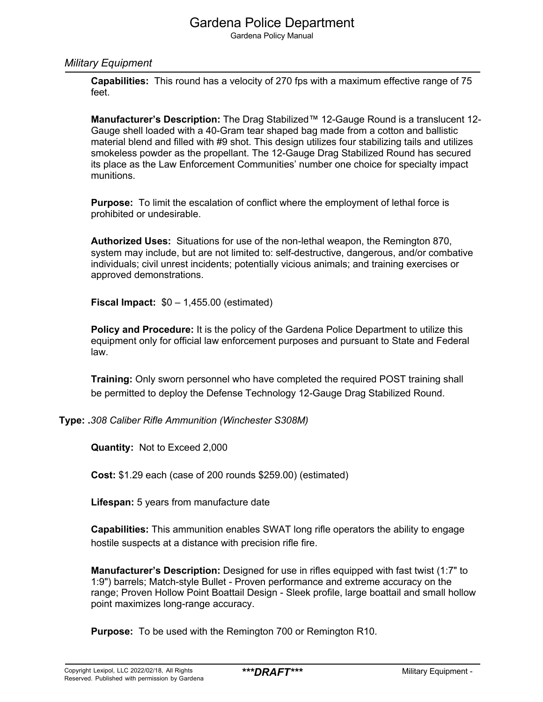Gardena Policy Manual

#### *Military Equipment*

**Capabilities:** This round has a velocity of 270 fps with a maximum effective range of 75 feet.

**Manufacturer's Description:** The Drag Stabilized™ 12-Gauge Round is a translucent 12- Gauge shell loaded with a 40-Gram tear shaped bag made from a cotton and ballistic material blend and filled with #9 shot. This design utilizes four stabilizing tails and utilizes smokeless powder as the propellant. The 12-Gauge Drag Stabilized Round has secured its place as the Law Enforcement Communities' number one choice for specialty impact munitions.

**Purpose:** To limit the escalation of conflict where the employment of lethal force is prohibited or undesirable.

**Authorized Uses:** Situations for use of the non-lethal weapon, the Remington 870, system may include, but are not limited to: self-destructive, dangerous, and/or combative individuals; civil unrest incidents; potentially vicious animals; and training exercises or approved demonstrations.

**Fiscal Impact:** \$0 – 1,455.00 (estimated)

**Policy and Procedure:** It is the policy of the Gardena Police Department to utilize this equipment only for official law enforcement purposes and pursuant to State and Federal law.

**Training:** Only sworn personnel who have completed the required POST training shall be permitted to deploy the Defense Technology 12-Gauge Drag Stabilized Round.

**Type: .***308 Caliber Rifle Ammunition (Winchester S308M)*

**Quantity:** Not to Exceed 2,000

**Cost:** \$1.29 each (case of 200 rounds \$259.00) (estimated)

**Lifespan:** 5 years from manufacture date

**Capabilities:** This ammunition enables SWAT long rifle operators the ability to engage hostile suspects at a distance with precision rifle fire.

**Manufacturer's Description:** Designed for use in rifles equipped with fast twist (1:7" to 1:9") barrels; Match-style Bullet - Proven performance and extreme accuracy on the range; Proven Hollow Point Boattail Design - Sleek profile, large boattail and small hollow point maximizes long-range accuracy.

**Purpose:** To be used with the Remington 700 or Remington R10.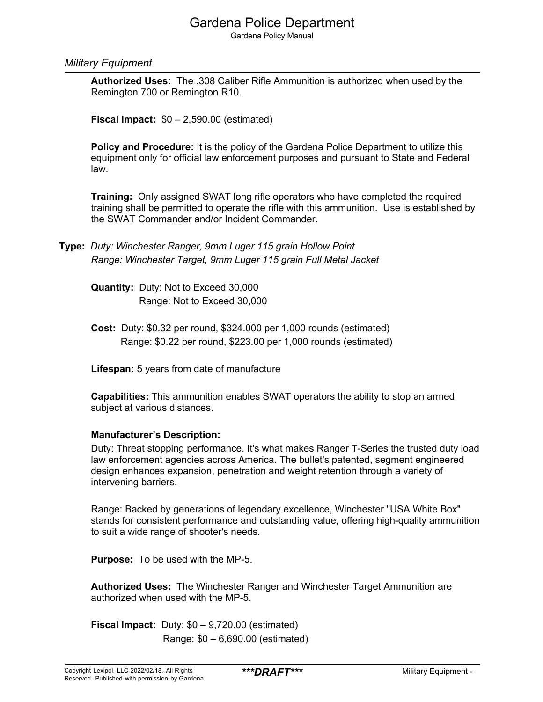Gardena Policy Manual

#### *Military Equipment*

**Authorized Uses:** The .308 Caliber Rifle Ammunition is authorized when used by the Remington 700 or Remington R10.

**Fiscal Impact:** \$0 – 2,590.00 (estimated)

**Policy and Procedure:** It is the policy of the Gardena Police Department to utilize this equipment only for official law enforcement purposes and pursuant to State and Federal law.

**Training:** Only assigned SWAT long rifle operators who have completed the required training shall be permitted to operate the rifle with this ammunition. Use is established by the SWAT Commander and/or Incident Commander.

**Type:** *Duty: Winchester Ranger, 9mm Luger 115 grain Hollow Point Range: Winchester Target, 9mm Luger 115 grain Full Metal Jacket*

**Quantity:** Duty: Not to Exceed 30,000 Range: Not to Exceed 30,000

**Cost:** Duty: \$0.32 per round, \$324.000 per 1,000 rounds (estimated) Range: \$0.22 per round, \$223.00 per 1,000 rounds (estimated)

**Lifespan:** 5 years from date of manufacture

**Capabilities:** This ammunition enables SWAT operators the ability to stop an armed subject at various distances.

#### **Manufacturer's Description:**

Duty: Threat stopping performance. It's what makes Ranger T-Series the trusted duty load law enforcement agencies across America. The bullet's patented, segment engineered design enhances expansion, penetration and weight retention through a variety of intervening barriers.

Range: Backed by generations of legendary excellence, Winchester "USA White Box" stands for consistent performance and outstanding value, offering high-quality ammunition to suit a wide range of shooter's needs.

**Purpose:** To be used with the MP-5.

**Authorized Uses:** The Winchester Ranger and Winchester Target Ammunition are authorized when used with the MP-5.

**Fiscal Impact:** Duty: \$0 – 9,720.00 (estimated) Range: \$0 – 6,690.00 (estimated)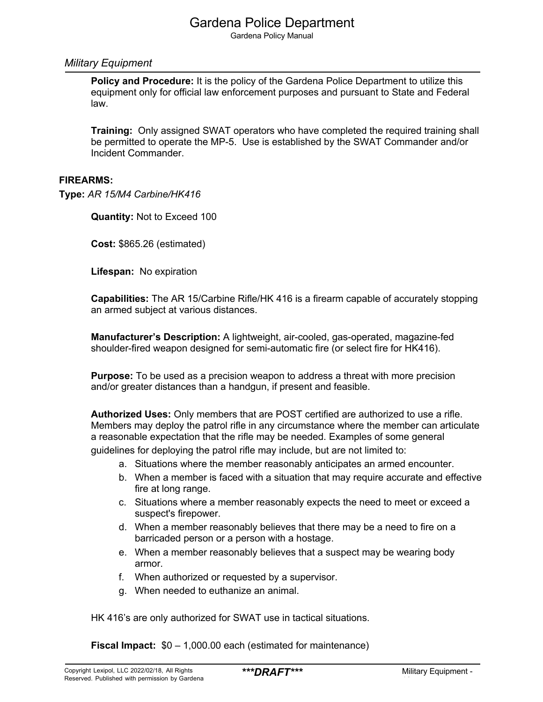Gardena Policy Manual

#### *Military Equipment*

**Policy and Procedure:** It is the policy of the Gardena Police Department to utilize this equipment only for official law enforcement purposes and pursuant to State and Federal law.

**Training:** Only assigned SWAT operators who have completed the required training shall be permitted to operate the MP-5. Use is established by the SWAT Commander and/or Incident Commander.

#### **FIREARMS:**

**Type:** *AR 15/M4 Carbine/HK416*

**Quantity:** Not to Exceed 100

**Cost:** \$865.26 (estimated)

**Lifespan:** No expiration

**Capabilities:** The AR 15/Carbine Rifle/HK 416 is a firearm capable of accurately stopping an armed subject at various distances.

**Manufacturer's Description:** A lightweight, air-cooled, gas-operated, magazine-fed shoulder-fired weapon designed for semi-automatic fire (or select fire for HK416).

**Purpose:** To be used as a precision weapon to address a threat with more precision and/or greater distances than a handgun, if present and feasible.

**Authorized Uses:** Only members that are POST certified are authorized to use a rifle. Members may deploy the patrol rifle in any circumstance where the member can articulate a reasonable expectation that the rifle may be needed. Examples of some general guidelines for deploying the patrol rifle may include, but are not limited to:

- a. Situations where the member reasonably anticipates an armed encounter.
- b. When a member is faced with a situation that may require accurate and effective fire at long range.
- c. Situations where a member reasonably expects the need to meet or exceed a suspect's firepower.
- d. When a member reasonably believes that there may be a need to fire on a barricaded person or a person with a hostage.
- e. When a member reasonably believes that a suspect may be wearing body armor.
- f. When authorized or requested by a supervisor.
- g. When needed to euthanize an animal.

HK 416's are only authorized for SWAT use in tactical situations.

**Fiscal Impact:**  $$0 - 1,000.00$  each (estimated for maintenance)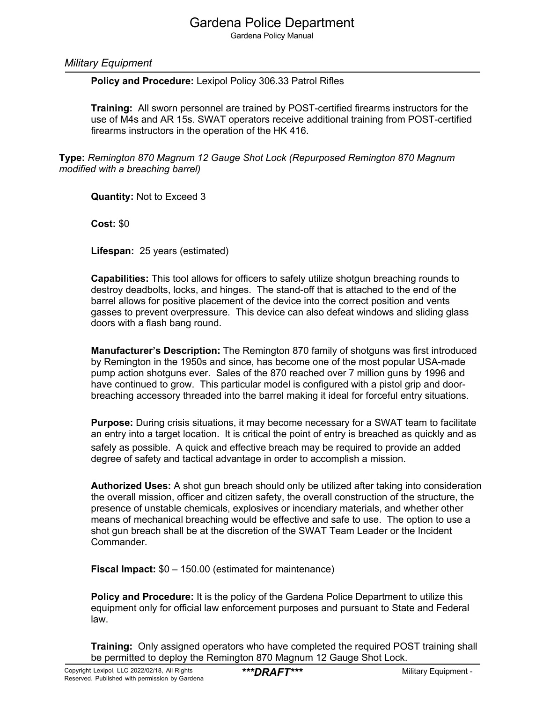Gardena Policy Manual

#### *Military Equipment*

**Policy and Procedure:** Lexipol Policy 306.33 Patrol Rifles

**Training:** All sworn personnel are trained by POST-certified firearms instructors for the use of M4s and AR 15s. SWAT operators receive additional training from POST-certified firearms instructors in the operation of the HK 416.

**Type:** *Remington 870 Magnum 12 Gauge Shot Lock (Repurposed Remington 870 Magnum modified with a breaching barrel)* 

**Quantity:** Not to Exceed 3

**Cost:** \$0

**Lifespan:** 25 years (estimated)

**Capabilities:** This tool allows for officers to safely utilize shotgun breaching rounds to destroy deadbolts, locks, and hinges. The stand-off that is attached to the end of the barrel allows for positive placement of the device into the correct position and vents gasses to prevent overpressure. This device can also defeat windows and sliding glass doors with a flash bang round.

**Manufacturer's Description:** The Remington 870 family of shotguns was first introduced by Remington in the 1950s and since, has become one of the most popular USA-made pump action shotguns ever. Sales of the 870 reached over 7 million guns by 1996 and have continued to grow. This particular model is configured with a pistol grip and doorbreaching accessory threaded into the barrel making it ideal for forceful entry situations.

**Purpose:** During crisis situations, it may become necessary for a SWAT team to facilitate an entry into a target location. It is critical the point of entry is breached as quickly and as safely as possible. A quick and effective breach may be required to provide an added degree of safety and tactical advantage in order to accomplish a mission.

**Authorized Uses:** A shot gun breach should only be utilized after taking into consideration the overall mission, officer and citizen safety, the overall construction of the structure, the presence of unstable chemicals, explosives or incendiary materials, and whether other means of mechanical breaching would be effective and safe to use. The option to use a shot gun breach shall be at the discretion of the SWAT Team Leader or the Incident Commander.

**Fiscal Impact:** \$0 – 150.00 (estimated for maintenance)

**Policy and Procedure:** It is the policy of the Gardena Police Department to utilize this equipment only for official law enforcement purposes and pursuant to State and Federal law.

**Training:** Only assigned operators who have completed the required POST training shall be permitted to deploy the Remington 870 Magnum 12 Gauge Shot Lock.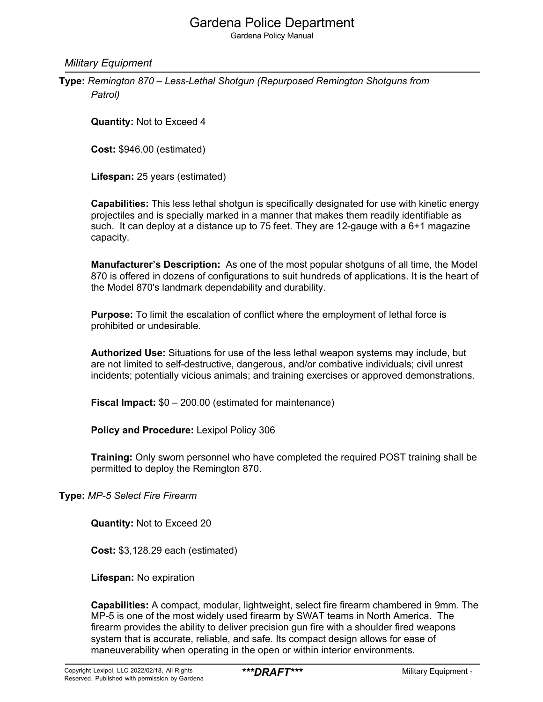Gardena Policy Manual

*Military Equipment*

**Type:** *Remington 870 – Less-Lethal Shotgun (Repurposed Remington Shotguns from Patrol)*

**Quantity:** Not to Exceed 4

**Cost:** \$946.00 (estimated)

**Lifespan:** 25 years (estimated)

**Capabilities:** This less lethal shotgun is specifically designated for use with kinetic energy projectiles and is specially marked in a manner that makes them readily identifiable as such. It can deploy at a distance up to 75 feet. They are 12-gauge with a 6+1 magazine capacity.

**Manufacturer's Description:** As one of the most popular shotguns of all time, the Model 870 is offered in dozens of configurations to suit hundreds of applications. It is the heart of the Model 870's landmark dependability and durability.

**Purpose:** To limit the escalation of conflict where the employment of lethal force is prohibited or undesirable.

**Authorized Use:** Situations for use of the less lethal weapon systems may include, but are not limited to self-destructive, dangerous, and/or combative individuals; civil unrest incidents; potentially vicious animals; and training exercises or approved demonstrations.

**Fiscal Impact:** \$0 – 200.00 (estimated for maintenance)

**Policy and Procedure:** Lexipol Policy 306

**Training:** Only sworn personnel who have completed the required POST training shall be permitted to deploy the Remington 870.

**Type:** *MP-5 Select Fire Firearm*

**Quantity:** Not to Exceed 20

**Cost:** \$3,128.29 each (estimated)

**Lifespan:** No expiration

**Capabilities:** A compact, modular, lightweight, select fire firearm chambered in 9mm. The MP-5 is one of the most widely used firearm by SWAT teams in North America. The firearm provides the ability to deliver precision gun fire with a shoulder fired weapons system that is accurate, reliable, and safe. Its compact design allows for ease of maneuverability when operating in the open or within interior environments.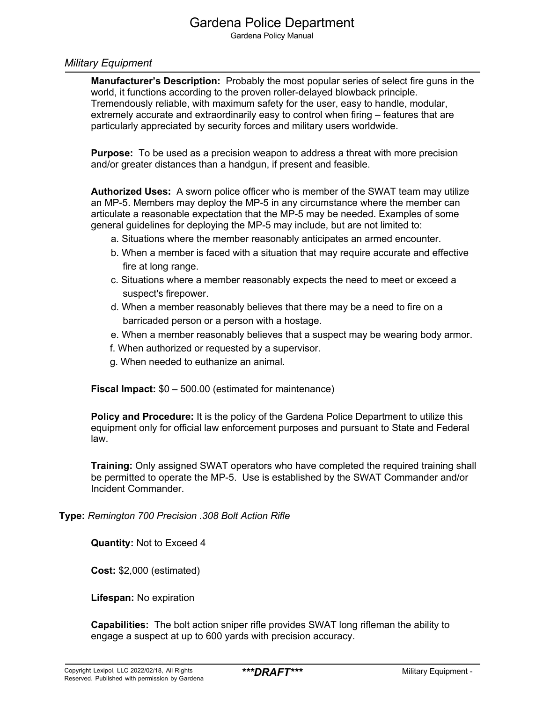Gardena Policy Manual

#### *Military Equipment*

**Manufacturer's Description:** Probably the most popular series of select fire guns in the world, it functions according to the proven roller-delayed blowback principle. Tremendously reliable, with maximum safety for the user, easy to handle, modular, extremely accurate and extraordinarily easy to control when firing – features that are particularly appreciated by security forces and military users worldwide.

**Purpose:** To be used as a precision weapon to address a threat with more precision and/or greater distances than a handgun, if present and feasible.

**Authorized Uses:** A sworn police officer who is member of the SWAT team may utilize an MP-5. Members may deploy the MP-5 in any circumstance where the member can articulate a reasonable expectation that the MP-5 may be needed. Examples of some general guidelines for deploying the MP-5 may include, but are not limited to:

- a. Situations where the member reasonably anticipates an armed encounter.
- b. When a member is faced with a situation that may require accurate and effective fire at long range.
- c. Situations where a member reasonably expects the need to meet or exceed a suspect's firepower.
- d. When a member reasonably believes that there may be a need to fire on a barricaded person or a person with a hostage.
- e. When a member reasonably believes that a suspect may be wearing body armor.
- f. When authorized or requested by a supervisor.
- g. When needed to euthanize an animal.

**Fiscal Impact:** \$0 – 500.00 (estimated for maintenance)

**Policy and Procedure:** It is the policy of the Gardena Police Department to utilize this equipment only for official law enforcement purposes and pursuant to State and Federal law.

**Training:** Only assigned SWAT operators who have completed the required training shall be permitted to operate the MP-5. Use is established by the SWAT Commander and/or Incident Commander.

**Type:** *Remington 700 Precision .308 Bolt Action Rifle* 

**Quantity:** Not to Exceed 4

**Cost:** \$2,000 (estimated)

**Lifespan:** No expiration

**Capabilities:** The bolt action sniper rifle provides SWAT long rifleman the ability to engage a suspect at up to 600 yards with precision accuracy.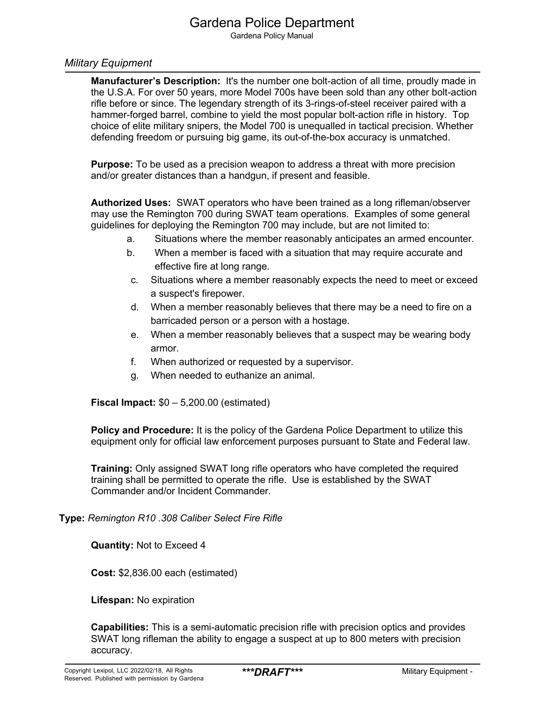Gardena Policy Manual

#### *Military Equipment*

**Manufacturer's Description:** It's the number one bolt-action of all time, proudly made in the U.S.A. For over 50 years, more Model 700s have been sold than any other bolt-action rifle before or since. The legendary strength of its 3-rings-of-steel receiver paired with a hammer-forged barrel, combine to yield the most popular bolt-action rifle in history. Top choice of elite military snipers, the Model 700 is unequalled in tactical precision. Whether defending freedom or pursuing big game, its out-of-the-box accuracy is unmatched.

**Purpose:** To be used as a precision weapon to address a threat with more precision and/or greater distances than a handgun, if present and feasible.

**Authorized Uses:** SWAT operators who have been trained as a long rifleman/observer may use the Remington 700 during SWAT team operations. Examples of some general guidelines for deploying the Remington 700 may include, but are not limited to:

- a. Situations where the member reasonably anticipates an armed encounter.
- b. When a member is faced with a situation that may require accurate and effective fire at long range.
- c. Situations where a member reasonably expects the need to meet or exceed a suspect's firepower.
- d. When a member reasonably believes that there may be a need to fire on a barricaded person or a person with a hostage.
- e. When a member reasonably believes that a suspect may be wearing body armor.
- f. When authorized or requested by a supervisor.
- g. When needed to euthanize an animal.

**Fiscal Impact:** \$0 – 5,200.00 (estimated)

**Policy and Procedure:** It is the policy of the Gardena Police Department to utilize this equipment only for official law enforcement purposes pursuant to State and Federal law.

**Training:** Only assigned SWAT long rifle operators who have completed the required training shall be permitted to operate the rifle. Use is established by the SWAT Commander and/or Incident Commander.

**Type:** *Remington R10 .308 Caliber Select Fire Rifle*

**Quantity:** Not to Exceed 4

**Cost:** \$2,836.00 each (estimated)

**Lifespan:** No expiration

**Capabilities:** This is a semi-automatic precision rifle with precision optics and provides SWAT long rifleman the ability to engage a suspect at up to 800 meters with precision accuracy.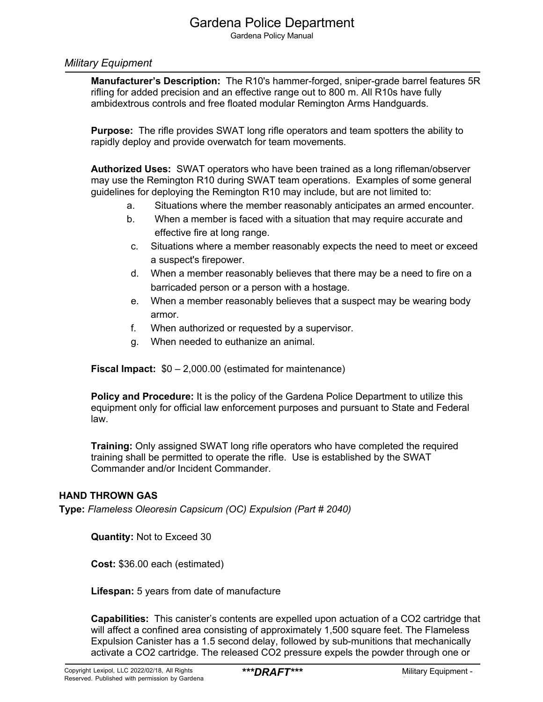Gardena Policy Manual

#### *Military Equipment*

**Manufacturer's Description:** The R10's hammer-forged, sniper-grade barrel features 5R rifling for added precision and an effective range out to 800 m. All R10s have fully ambidextrous controls and free floated modular Remington Arms Handguards.

**Purpose:** The rifle provides SWAT long rifle operators and team spotters the ability to rapidly deploy and provide overwatch for team movements.

**Authorized Uses:** SWAT operators who have been trained as a long rifleman/observer may use the Remington R10 during SWAT team operations. Examples of some general guidelines for deploying the Remington R10 may include, but are not limited to:

- a. Situations where the member reasonably anticipates an armed encounter.
- b. When a member is faced with a situation that may require accurate and effective fire at long range.
- c. Situations where a member reasonably expects the need to meet or exceed a suspect's firepower.
- d. When a member reasonably believes that there may be a need to fire on a barricaded person or a person with a hostage.
- e. When a member reasonably believes that a suspect may be wearing body armor.
- f. When authorized or requested by a supervisor.
- g. When needed to euthanize an animal.

**Fiscal Impact:** \$0 – 2,000.00 (estimated for maintenance)

**Policy and Procedure:** It is the policy of the Gardena Police Department to utilize this equipment only for official law enforcement purposes and pursuant to State and Federal law.

**Training:** Only assigned SWAT long rifle operators who have completed the required training shall be permitted to operate the rifle. Use is established by the SWAT Commander and/or Incident Commander.

#### **HAND THROWN GAS**

**Type:** *Flameless Oleoresin Capsicum (OC) Expulsion (Part # 2040)*

**Quantity:** Not to Exceed 30

**Cost:** \$36.00 each (estimated)

**Lifespan:** 5 years from date of manufacture

**Capabilities:** This canister's contents are expelled upon actuation of a CO2 cartridge that will affect a confined area consisting of approximately 1,500 square feet. The Flameless Expulsion Canister has a 1.5 second delay, followed by sub-munitions that mechanically activate a CO2 cartridge. The released CO2 pressure expels the powder through one or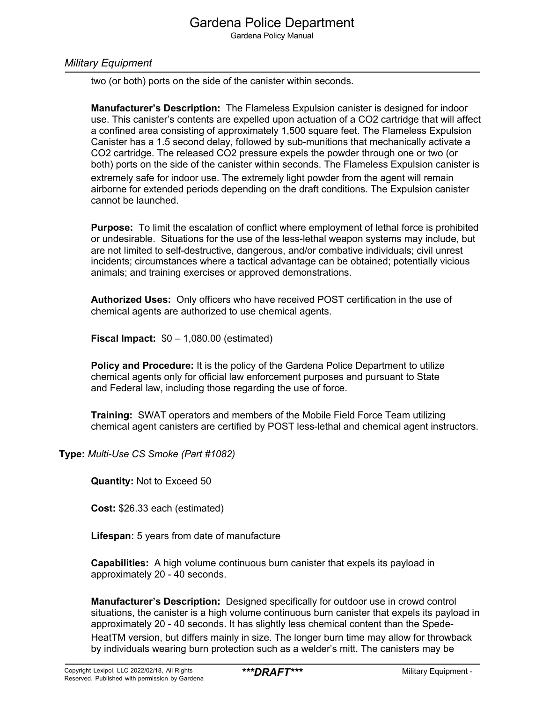Gardena Policy Manual

### *Military Equipment*

two (or both) ports on the side of the canister within seconds.

**Manufacturer's Description:** The Flameless Expulsion canister is designed for indoor use. This canister's contents are expelled upon actuation of a CO2 cartridge that will affect a confined area consisting of approximately 1,500 square feet. The Flameless Expulsion Canister has a 1.5 second delay, followed by sub-munitions that mechanically activate a CO2 cartridge. The released CO2 pressure expels the powder through one or two (or both) ports on the side of the canister within seconds. The Flameless Expulsion canister is extremely safe for indoor use. The extremely light powder from the agent will remain airborne for extended periods depending on the draft conditions. The Expulsion canister cannot be launched.

**Purpose:** To limit the escalation of conflict where employment of lethal force is prohibited or undesirable. Situations for the use of the less-lethal weapon systems may include, but are not limited to self-destructive, dangerous, and/or combative individuals; civil unrest incidents; circumstances where a tactical advantage can be obtained; potentially vicious animals; and training exercises or approved demonstrations.

**Authorized Uses:** Only officers who have received POST certification in the use of chemical agents are authorized to use chemical agents.

**Fiscal Impact:** \$0 – 1,080.00 (estimated)

**Policy and Procedure:** It is the policy of the Gardena Police Department to utilize chemical agents only for official law enforcement purposes and pursuant to State and Federal law, including those regarding the use of force.

**Training:** SWAT operators and members of the Mobile Field Force Team utilizing chemical agent canisters are certified by POST less-lethal and chemical agent instructors.

**Type:** *Multi-Use CS Smoke (Part #1082)*

**Quantity:** Not to Exceed 50

**Cost:** \$26.33 each (estimated)

**Lifespan:** 5 years from date of manufacture

**Capabilities:** A high volume continuous burn canister that expels its payload in approximately 20 - 40 seconds.

**Manufacturer's Description:** Designed specifically for outdoor use in crowd control situations, the canister is a high volume continuous burn canister that expels its payload in approximately 20 - 40 seconds. It has slightly less chemical content than the Spede-HeatTM version, but differs mainly in size. The longer burn time may allow for throwback by individuals wearing burn protection such as a welder's mitt. The canisters may be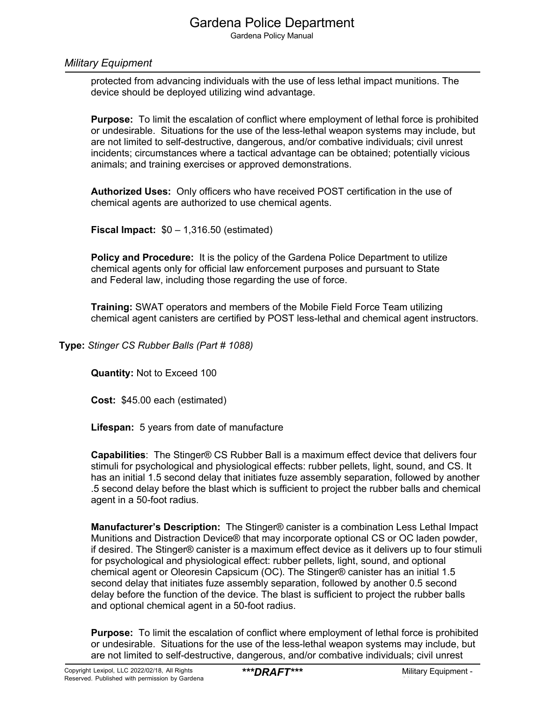Gardena Policy Manual

#### *Military Equipment*

protected from advancing individuals with the use of less lethal impact munitions. The device should be deployed utilizing wind advantage.

**Purpose:** To limit the escalation of conflict where employment of lethal force is prohibited or undesirable. Situations for the use of the less-lethal weapon systems may include, but are not limited to self-destructive, dangerous, and/or combative individuals; civil unrest incidents; circumstances where a tactical advantage can be obtained; potentially vicious animals; and training exercises or approved demonstrations.

**Authorized Uses:** Only officers who have received POST certification in the use of chemical agents are authorized to use chemical agents.

**Fiscal Impact:** \$0 – 1,316.50 (estimated)

**Policy and Procedure:** It is the policy of the Gardena Police Department to utilize chemical agents only for official law enforcement purposes and pursuant to State and Federal law, including those regarding the use of force.

**Training:** SWAT operators and members of the Mobile Field Force Team utilizing chemical agent canisters are certified by POST less-lethal and chemical agent instructors.

**Type:** *Stinger CS Rubber Balls (Part # 1088)*

**Quantity:** Not to Exceed 100

**Cost:** \$45.00 each (estimated)

**Lifespan:** 5 years from date of manufacture

**Capabilities**: The Stinger® CS Rubber Ball is a maximum effect device that delivers four stimuli for psychological and physiological effects: rubber pellets, light, sound, and CS. It has an initial 1.5 second delay that initiates fuze assembly separation, followed by another .5 second delay before the blast which is sufficient to project the rubber balls and chemical agent in a 50-foot radius.

**Manufacturer's Description:** The Stinger® canister is a combination Less Lethal Impact Munitions and Distraction Device® that may incorporate optional CS or OC laden powder, if desired. The Stinger® canister is a maximum effect device as it delivers up to four stimuli for psychological and physiological effect: rubber pellets, light, sound, and optional chemical agent or Oleoresin Capsicum (OC). The Stinger® canister has an initial 1.5 second delay that initiates fuze assembly separation, followed by another 0.5 second delay before the function of the device. The blast is sufficient to project the rubber balls and optional chemical agent in a 50-foot radius.

**Purpose:** To limit the escalation of conflict where employment of lethal force is prohibited or undesirable. Situations for the use of the less-lethal weapon systems may include, but are not limited to self-destructive, dangerous, and/or combative individuals; civil unrest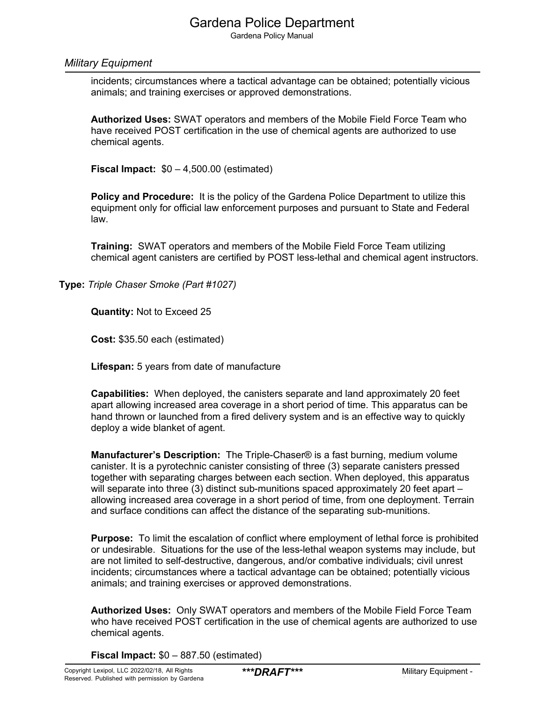Gardena Policy Manual

#### *Military Equipment*

incidents; circumstances where a tactical advantage can be obtained; potentially vicious animals; and training exercises or approved demonstrations.

**Authorized Uses:** SWAT operators and members of the Mobile Field Force Team who have received POST certification in the use of chemical agents are authorized to use chemical agents.

**Fiscal Impact:** \$0 – 4,500.00 (estimated)

**Policy and Procedure:** It is the policy of the Gardena Police Department to utilize this equipment only for official law enforcement purposes and pursuant to State and Federal law.

**Training:** SWAT operators and members of the Mobile Field Force Team utilizing chemical agent canisters are certified by POST less-lethal and chemical agent instructors.

**Type:** *Triple Chaser Smoke (Part #1027)*

**Quantity:** Not to Exceed 25

**Cost:** \$35.50 each (estimated)

**Lifespan:** 5 years from date of manufacture

**Capabilities:** When deployed, the canisters separate and land approximately 20 feet apart allowing increased area coverage in a short period of time. This apparatus can be hand thrown or launched from a fired delivery system and is an effective way to quickly deploy a wide blanket of agent.

**Manufacturer's Description:** The Triple-Chaser® is a fast burning, medium volume canister. It is a pyrotechnic canister consisting of three (3) separate canisters pressed together with separating charges between each section. When deployed, this apparatus will separate into three (3) distinct sub-munitions spaced approximately 20 feet apart – allowing increased area coverage in a short period of time, from one deployment. Terrain and surface conditions can affect the distance of the separating sub-munitions.

**Purpose:** To limit the escalation of conflict where employment of lethal force is prohibited or undesirable. Situations for the use of the less-lethal weapon systems may include, but are not limited to self-destructive, dangerous, and/or combative individuals; civil unrest incidents; circumstances where a tactical advantage can be obtained; potentially vicious animals; and training exercises or approved demonstrations.

**Authorized Uses:** Only SWAT operators and members of the Mobile Field Force Team who have received POST certification in the use of chemical agents are authorized to use chemical agents.

**Fiscal Impact:** \$0 – 887.50 (estimated)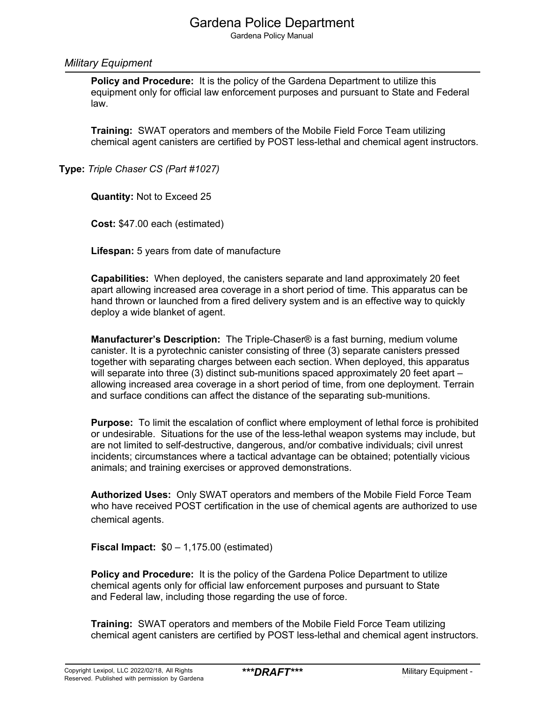Gardena Policy Manual

#### *Military Equipment*

**Policy and Procedure:** It is the policy of the Gardena Department to utilize this equipment only for official law enforcement purposes and pursuant to State and Federal law.

**Training:** SWAT operators and members of the Mobile Field Force Team utilizing chemical agent canisters are certified by POST less-lethal and chemical agent instructors.

**Type:** *Triple Chaser CS (Part #1027)*

**Quantity:** Not to Exceed 25

**Cost:** \$47.00 each (estimated)

**Lifespan:** 5 years from date of manufacture

**Capabilities:** When deployed, the canisters separate and land approximately 20 feet apart allowing increased area coverage in a short period of time. This apparatus can be hand thrown or launched from a fired delivery system and is an effective way to quickly deploy a wide blanket of agent.

**Manufacturer's Description:** The Triple-Chaser® is a fast burning, medium volume canister. It is a pyrotechnic canister consisting of three (3) separate canisters pressed together with separating charges between each section. When deployed, this apparatus will separate into three (3) distinct sub-munitions spaced approximately 20 feet apart – allowing increased area coverage in a short period of time, from one deployment. Terrain and surface conditions can affect the distance of the separating sub-munitions.

**Purpose:** To limit the escalation of conflict where employment of lethal force is prohibited or undesirable. Situations for the use of the less-lethal weapon systems may include, but are not limited to self-destructive, dangerous, and/or combative individuals; civil unrest incidents; circumstances where a tactical advantage can be obtained; potentially vicious animals; and training exercises or approved demonstrations.

**Authorized Uses:** Only SWAT operators and members of the Mobile Field Force Team who have received POST certification in the use of chemical agents are authorized to use chemical agents.

**Fiscal Impact:** \$0 – 1,175.00 (estimated)

**Policy and Procedure:** It is the policy of the Gardena Police Department to utilize chemical agents only for official law enforcement purposes and pursuant to State and Federal law, including those regarding the use of force.

**Training:** SWAT operators and members of the Mobile Field Force Team utilizing chemical agent canisters are certified by POST less-lethal and chemical agent instructors.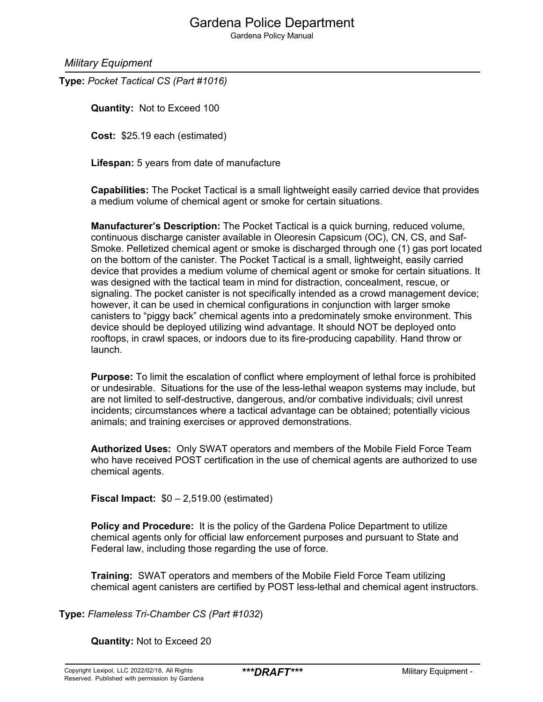Gardena Policy Manual

*Military Equipment*

**Type:** *Pocket Tactical CS (Part #1016)*

**Quantity:** Not to Exceed 100

**Cost:** \$25.19 each (estimated)

**Lifespan:** 5 years from date of manufacture

**Capabilities:** The Pocket Tactical is a small lightweight easily carried device that provides a medium volume of chemical agent or smoke for certain situations.

**Manufacturer's Description:** The Pocket Tactical is a quick burning, reduced volume, continuous discharge canister available in Oleoresin Capsicum (OC), CN, CS, and Saf-Smoke. Pelletized chemical agent or smoke is discharged through one (1) gas port located on the bottom of the canister. The Pocket Tactical is a small, lightweight, easily carried device that provides a medium volume of chemical agent or smoke for certain situations. It was designed with the tactical team in mind for distraction, concealment, rescue, or signaling. The pocket canister is not specifically intended as a crowd management device; however, it can be used in chemical configurations in conjunction with larger smoke canisters to "piggy back" chemical agents into a predominately smoke environment. This device should be deployed utilizing wind advantage. It should NOT be deployed onto rooftops, in crawl spaces, or indoors due to its fire-producing capability. Hand throw or launch.

**Purpose:** To limit the escalation of conflict where employment of lethal force is prohibited or undesirable. Situations for the use of the less-lethal weapon systems may include, but are not limited to self-destructive, dangerous, and/or combative individuals; civil unrest incidents; circumstances where a tactical advantage can be obtained; potentially vicious animals; and training exercises or approved demonstrations.

**Authorized Uses:** Only SWAT operators and members of the Mobile Field Force Team who have received POST certification in the use of chemical agents are authorized to use chemical agents.

**Fiscal Impact:** \$0 – 2,519.00 (estimated)

**Policy and Procedure:** It is the policy of the Gardena Police Department to utilize chemical agents only for official law enforcement purposes and pursuant to State and Federal law, including those regarding the use of force.

**Training:** SWAT operators and members of the Mobile Field Force Team utilizing chemical agent canisters are certified by POST less-lethal and chemical agent instructors.

**Type:** *Flameless Tri-Chamber CS (Part #1032*)

**Quantity:** Not to Exceed 20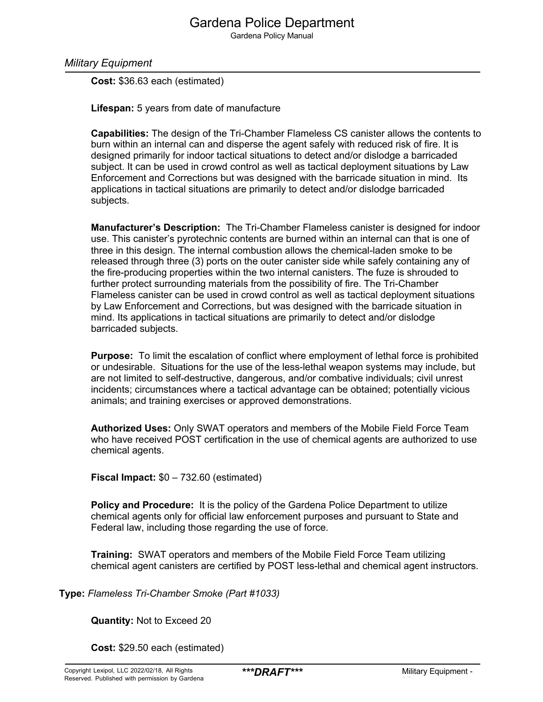Gardena Policy Manual

*Military Equipment*

**Cost:** \$36.63 each (estimated)

**Lifespan:** 5 years from date of manufacture

**Capabilities:** The design of the Tri-Chamber Flameless CS canister allows the contents to burn within an internal can and disperse the agent safely with reduced risk of fire. It is designed primarily for indoor tactical situations to detect and/or dislodge a barricaded subject. It can be used in crowd control as well as tactical deployment situations by Law Enforcement and Corrections but was designed with the barricade situation in mind. Its applications in tactical situations are primarily to detect and/or dislodge barricaded subjects.

**Manufacturer's Description:** The Tri-Chamber Flameless canister is designed for indoor use. This canister's pyrotechnic contents are burned within an internal can that is one of three in this design. The internal combustion allows the chemical-laden smoke to be released through three (3) ports on the outer canister side while safely containing any of the fire-producing properties within the two internal canisters. The fuze is shrouded to further protect surrounding materials from the possibility of fire. The Tri-Chamber Flameless canister can be used in crowd control as well as tactical deployment situations by Law Enforcement and Corrections, but was designed with the barricade situation in mind. Its applications in tactical situations are primarily to detect and/or dislodge barricaded subjects.

**Purpose:** To limit the escalation of conflict where employment of lethal force is prohibited or undesirable. Situations for the use of the less-lethal weapon systems may include, but are not limited to self-destructive, dangerous, and/or combative individuals; civil unrest incidents; circumstances where a tactical advantage can be obtained; potentially vicious animals; and training exercises or approved demonstrations.

**Authorized Uses:** Only SWAT operators and members of the Mobile Field Force Team who have received POST certification in the use of chemical agents are authorized to use chemical agents.

**Fiscal Impact:** \$0 – 732.60 (estimated)

**Policy and Procedure:** It is the policy of the Gardena Police Department to utilize chemical agents only for official law enforcement purposes and pursuant to State and Federal law, including those regarding the use of force.

**Training:** SWAT operators and members of the Mobile Field Force Team utilizing chemical agent canisters are certified by POST less-lethal and chemical agent instructors.

**Type:** *Flameless Tri-Chamber Smoke (Part #1033)*

**Quantity:** Not to Exceed 20

**Cost:** \$29.50 each (estimated)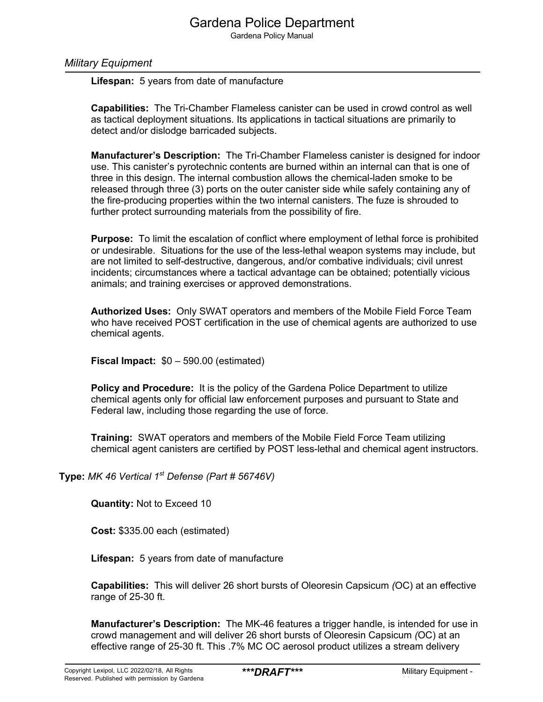Gardena Policy Manual

#### *Military Equipment*

**Lifespan:** 5 years from date of manufacture

**Capabilities:** The Tri-Chamber Flameless canister can be used in crowd control as well as tactical deployment situations. Its applications in tactical situations are primarily to detect and/or dislodge barricaded subjects.

**Manufacturer's Description:** The Tri-Chamber Flameless canister is designed for indoor use. This canister's pyrotechnic contents are burned within an internal can that is one of three in this design. The internal combustion allows the chemical-laden smoke to be released through three (3) ports on the outer canister side while safely containing any of the fire-producing properties within the two internal canisters. The fuze is shrouded to further protect surrounding materials from the possibility of fire.

**Purpose:** To limit the escalation of conflict where employment of lethal force is prohibited or undesirable. Situations for the use of the less-lethal weapon systems may include, but are not limited to self-destructive, dangerous, and/or combative individuals; civil unrest incidents; circumstances where a tactical advantage can be obtained; potentially vicious animals; and training exercises or approved demonstrations.

**Authorized Uses:** Only SWAT operators and members of the Mobile Field Force Team who have received POST certification in the use of chemical agents are authorized to use chemical agents.

**Fiscal Impact:** \$0 – 590.00 (estimated)

**Policy and Procedure:** It is the policy of the Gardena Police Department to utilize chemical agents only for official law enforcement purposes and pursuant to State and Federal law, including those regarding the use of force.

**Training:** SWAT operators and members of the Mobile Field Force Team utilizing chemical agent canisters are certified by POST less-lethal and chemical agent instructors.

**Type:** *MK 46 Vertical 1st Defense (Part # 56746V)*

**Quantity:** Not to Exceed 10

**Cost:** \$335.00 each (estimated)

**Lifespan:** 5 years from date of manufacture

**Capabilities:** This will deliver 26 short bursts of Oleoresin Capsicum *(*OC) at an effective range of 25-30 ft.

**Manufacturer's Description:** The MK-46 features a trigger handle, is intended for use in crowd management and will deliver 26 short bursts of Oleoresin Capsicum *(*OC) at an effective range of 25-30 ft. This .7% MC OC aerosol product utilizes a stream delivery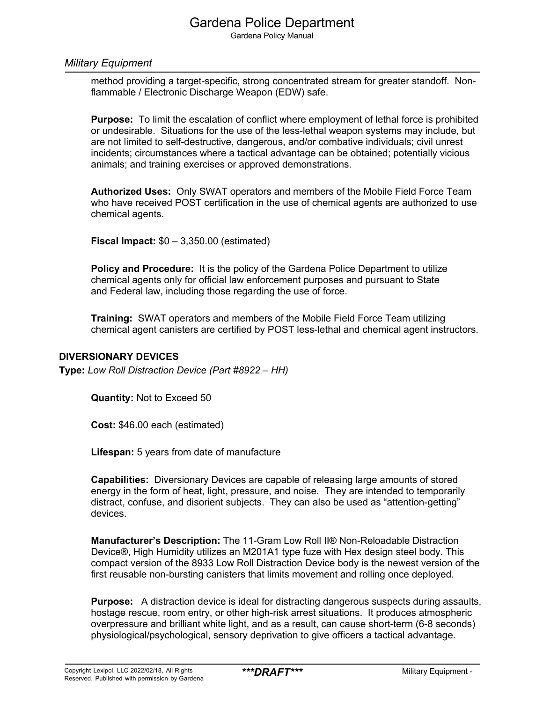Gardena Policy Manual

#### *Military Equipment*

method providing a target-specific, strong concentrated stream for greater standoff. Nonflammable / Electronic Discharge Weapon (EDW) safe.

**Purpose:** To limit the escalation of conflict where employment of lethal force is prohibited or undesirable. Situations for the use of the less-lethal weapon systems may include, but are not limited to self-destructive, dangerous, and/or combative individuals; civil unrest incidents; circumstances where a tactical advantage can be obtained; potentially vicious animals; and training exercises or approved demonstrations.

**Authorized Uses:** Only SWAT operators and members of the Mobile Field Force Team who have received POST certification in the use of chemical agents are authorized to use chemical agents.

**Fiscal Impact:** \$0 – 3,350.00 (estimated)

**Policy and Procedure:** It is the policy of the Gardena Police Department to utilize chemical agents only for official law enforcement purposes and pursuant to State and Federal law, including those regarding the use of force.

**Training:** SWAT operators and members of the Mobile Field Force Team utilizing chemical agent canisters are certified by POST less-lethal and chemical agent instructors.

#### **DIVERSIONARY DEVICES**

**Type:** *Low Roll Distraction Device (Part #8922 – HH)*

**Quantity:** Not to Exceed 50

**Cost:** \$46.00 each (estimated)

**Lifespan:** 5 years from date of manufacture

**Capabilities:** Diversionary Devices are capable of releasing large amounts of stored energy in the form of heat, light, pressure, and noise. They are intended to temporarily distract, confuse, and disorient subjects. They can also be used as "attention-getting" devices.

**Manufacturer's Description:** The 11-Gram Low Roll II® Non-Reloadable Distraction Device®, High Humidity utilizes an M201A1 type fuze with Hex design steel body. This compact version of the 8933 Low Roll Distraction Device body is the newest version of the first reusable non-bursting canisters that limits movement and rolling once deployed.

**Purpose:** A distraction device is ideal for distracting dangerous suspects during assaults, hostage rescue, room entry, or other high-risk arrest situations. It produces atmospheric overpressure and brilliant white light, and as a result, can cause short-term (6-8 seconds) physiological/psychological, sensory deprivation to give officers a tactical advantage.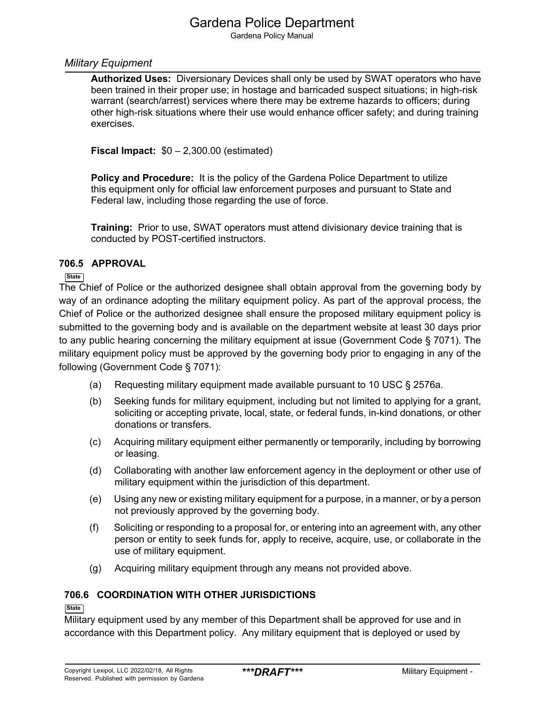Gardena Policy Manual

### *Military Equipment*

**Authorized Uses:** Diversionary Devices shall only be used by SWAT operators who have been trained in their proper use; in hostage and barricaded suspect situations; in high-risk warrant (search/arrest) services where there may be extreme hazards to officers; during other high-risk situations where their use would enhance officer safety; and during training exercises.

**Fiscal Impact:** \$0 – 2,300.00 (estimated)

**Policy and Procedure:** It is the policy of the Gardena Police Department to utilize this equipment only for official law enforcement purposes and pursuant to State and Federal law, including those regarding the use of force.

**Training:** Prior to use, SWAT operators must attend divisionary device training that is conducted by POST-certified instructors.

### **706.5 APPROVAL**

#### **State**

The Chief of Police or the authorized designee shall obtain approval from the governing body by way of an ordinance adopting the military equipment policy. As part of the approval process, the Chief of Police or the authorized designee shall ensure the proposed military equipment policy is submitted to the governing body and is available on the department website at least 30 days prior to any public hearing concerning the military equipment at issue (Government Code § 7071). The military equipment policy must be approved by the governing body prior to engaging in any of the following (Government Code § 7071):

- (a) Requesting military equipment made available pursuant to 10 USC § 2576a.
- (b) Seeking funds for military equipment, including but not limited to applying for a grant, soliciting or accepting private, local, state, or federal funds, in-kind donations, or other donations or transfers.
- (c) Acquiring military equipment either permanently or temporarily, including by borrowing or leasing.
- (d) Collaborating with another law enforcement agency in the deployment or other use of military equipment within the jurisdiction of this department.
- (e) Using any new or existing military equipment for a purpose, in a manner, or by a person not previously approved by the governing body.
- (f) Soliciting or responding to a proposal for, or entering into an agreement with, any other person or entity to seek funds for, apply to receive, acquire, use, or collaborate in the use of military equipment.
- (g) Acquiring military equipment through any means not provided above.

### **706.6 COORDINATION WITH OTHER JURISDICTIONS**

#### **State**

Military equipment used by any member of this Department shall be approved for use and in accordance with this Department policy. Any military equipment that is deployed or used by